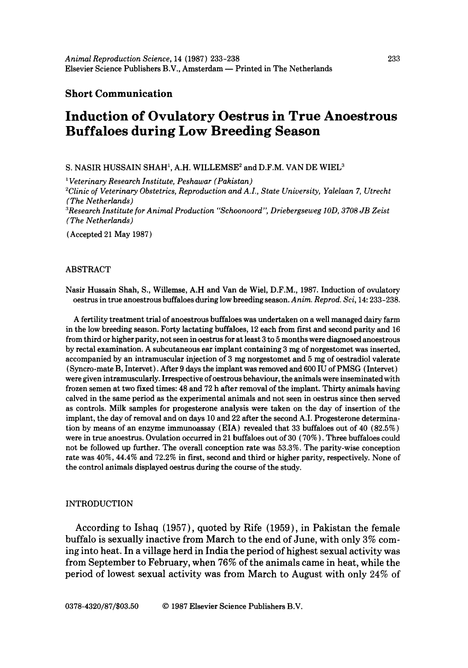# **Short Communication**

# **Induction of Ovulatory Oestrus in True Anoestrous Buffaloes during Low Breeding Season**

S. NASIR HUSSAIN SHAH<sup>1</sup>, A.H. WILLEMSE<sup>2</sup> and D.F.M. VAN DE WIEL<sup>3</sup>

*' Veterinary Research Institute, Peshawar (Pakistan)* 

*2Clinic of Veterinary Obstetrics, Reproduction and A.I., State University, Yalelaan 7, Utrecht (The Netherlands)* 

*"~Research Institute for Animal Production "Schoonoord'" Driebergseweg IOD, 3708 JB Zeist (The Netherlands)* 

(Accepted 21 May 1987)

# ABSTRACT

Nasir Hussain Shah, S., Willemse, A.H and Van de Wiel, D.F.M., 1987. Induction of ovulatory oestrus in true anoestrous buffaloes during low breeding season. *Anim. Reprod. Sci,* 14: 233-238.

A fertility treatment trial of anoestrous buffaloes was undertaken on a well managed dairy farm in the low breeding season. Forty lactating buffaloes, 12 each from first and second parity and 16 from third or higher parity, not seen in oestrus for at least 3 to 5 months were diagnosed anoestrous by rectal examination. A subcutaneous ear implant containing 3 mg of norgestomet was inserted, accompanied by an intramuscular injection of 3 mg norgestomet and 5 mg of oestradiol valerate (Syncro-mate B, Intervet). After 9 days the implant was removed and 600 IU of PMSG (Intervet) were given intramuscularly. Irrespective of oestrous behaviour, the animals were inseminated with frozen semen at two fixed times: 48 and 72 h after removal of the implant. Thirty animals having calved in the same period as the experimental animals and not seen in oestrus since then served as controls. Milk samples for progesterone analysis were taken on the day of insertion of the implant, the day of removal and on days 10 and 22 after the second A.I. Progesterone determination by means of an enzyme immunoassay (EIA) revealed that 33 buffaloes out of 40 (82.5%) were in true anoestrus. Ovulation occurred in 21 buffaloes out of 30 ( 70% ). Three buffaloes could not be followed up further. The overall conception rate was 53.3%. The parity-wise conception rate was 40%, 44.4% and 72.2% in first, second and third or higher parity, respectively. None of the control animals displayed oestrus during the course of the study.

#### INTRODUCTION

According to Ishaq (1957), quoted by Rife (1959), in Pakistan the female buffalo is sexually inactive from March to the end of June, with only 3% coming into heat. In a village herd in India the period of highest sexual activity was from September to February, when 76% of the animals came in heat, while the period of lowest sexual activity was from March to August with only 24% of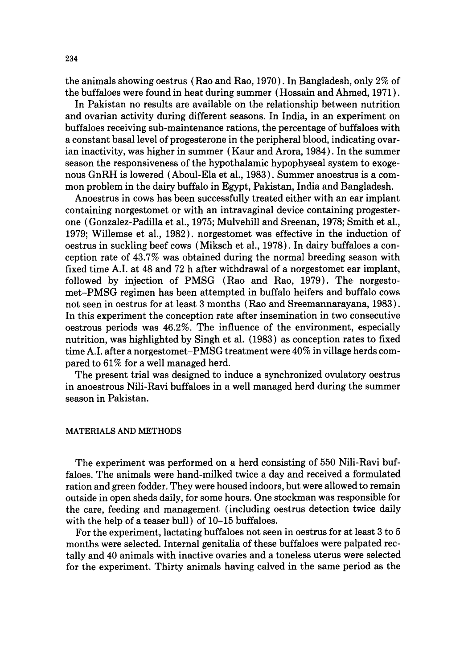the animals showing oestrus (Rao and Rao, 1970). In Bangladesh, only 2% of the buffaloes were found in heat during summer (Hossain and Ahmed, 1971 ).

In Pakistan no results are available on the relationship between nutrition and ovarian activity during different seasons. In India, in an experiment on buffaloes receiving sub-maintenance rations, the percentage of buffaloes with a constant basal level of progesterone in the peripheral blood, indicating ovarian inactivity, was higher in summer (Kaur and Arora, 1984). In the summer season the responsiveness of the hypothalamic hypophyseal system to exogenous GnRH is lowered (Aboul-Ela et al., 1983). Summer anoestrus is a common problem in the dairy buffalo in Egypt, Pakistan, India and Bangladesh.

Anoestrus in cows has been successfully treated either with an ear implant containing norgestomet or with an intravaginal device containing progesterone (Gonzalez-Padilla et al., 1975; Mulvehill and Sreenan, 1978; Smith et al., 1979; Willemse et al., 1982). norgestomet was effective in the induction of oestrus in suckling beef cows (Miksch et al., 1978). In dairy buffaloes a conception rate of 43.7% was obtained during the normal breeding season with fixed time A.I. at 48 and 72 h after withdrawal of a norgestomet ear implant, followed by injection of PMSG (Rao and Rao, 1979). The norgestomet-PMSG regimen has been attempted in buffalo heifers and buffalo cows not seen in oestrus for at least 3 months (Rao and Sreemannarayana, 1983). In this experiment the conception rate after insemination in two consecutive oestrous periods was 46.2%. The influence of the environment, especially nutrition, was highlighted by Singh et al. (1983) as conception rates to fixed time A.I. after a norgestomet-PMSG treatment were 40% in village herds compared to 61% for a well managed herd.

The present trial was designed to induce a synchronized ovulatory oestrus in anoestrous Nili-Ravi buffaloes in a well managed herd during the summer season in Pakistan.

## MATERIALS AND METHODS

The experiment was performed on a herd consisting of 550 Nili-Ravi buffaloes. The animals were hand-milked twice a day and received a formulated ration and green fodder. They were housed indoors, but were allowed to remain outside in open sheds daily, for some hours. One stockman was responsible for the care, feeding and management (including oestrus detection twice daily with the help of a teaser bull) of 10-15 buffaloes.

For the experiment, lactating buffaloes not seen in oestrus for at least 3 to 5 months were selected. Internal genitalia of these buffaloes were palpated rectally and 40 animals with inactive ovaries and a toneless uterus were selected for the experiment. Thirty animals having calved in the same period as the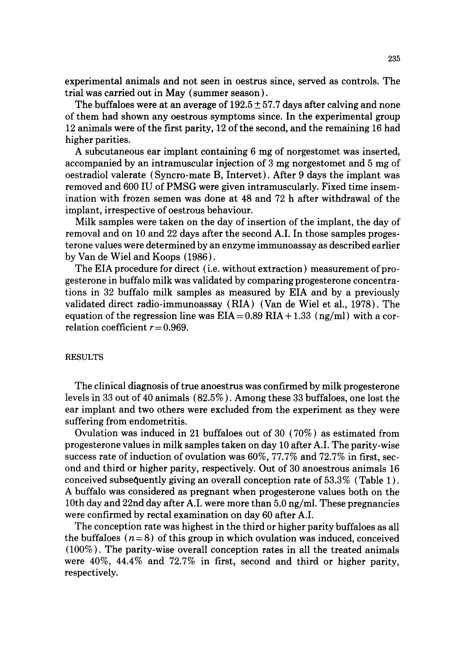experimental animals and not seen in oestrus since, served as controls. The trial was carried out in May (summer season).

The buffaloes were at an average of  $192.5 \pm 57.7$  days after calving and none of them had shown any oestrous symptoms since. In the experimental group 12 animals were of the first parity, 12 of the second, and the remaining 16 had higher parities.

A subcutaneous ear implant containing 6 mg of norgestomet was inserted, accompanied by an intramuscular injection of 3 mg norgestomet and 5 mg of oestradiol valerate (Syncro-mate B, Intervet). After 9 days the implant was removed and 600 IU of PMSG were given intramuscularly. Fixed time insemination with frozen semen was done at 48 and 72 h after withdrawal of the implant, irrespective of oestrous behaviour.

Milk samples were taken on the day of insertion of the implant, the day of removal and on 10 and 22 days after the second A.I. In those samples progesterone values were determined by an enzyme immunoassay as described earlier by Van de Wiel and Koops (1986).

The EIA procedure for direct (i.e. without extraction) measurement of progesterone in buffalo milk was validated by comparing progesterone concentrations in 32 buffalo milk samples as measured by EIA and by a previously validated direct radio-immunoassay (RIA) (Van de Wiel et al., 1978). The equation of the regression line was  $EIA = 0.89$  RIA + 1.33 (ng/ml) with a correlation coefficient  $r = 0.969$ .

#### RESULTS

The clinical diagnosis of true anoestrus was confirmed by milk progesterone levels in 33 out of 40 animals (82.5%). Among these 33 buffaloes, one lost the ear implant and two others were excluded from the experiment as they were suffering from endometritis.

Ovulation was induced in 21 buffaloes out of 30 ( 70% ) as estimated from progesterone values in milk samples taken on day 10 after A.I. The parity-wise success rate of induction of ovulation was 60%, 77.7% and 72.7% in first, second and third or higher parity, respectively. Out of 30 anoestrous animals 16 conceived subsequently giving an overall conception rate of 53.3% (Table 1 ). A buffalo was considered as pregnant when progesterone values both on the 10th day and 22nd day after A.I. were more than 5.0 ng/ml. These pregnancies were confirmed by rectal examination on day 60 after A.I.

The conception rate was highest in the third or higher parity buffaloes as all the buffaloes  $(n=8)$  of this group in which ovulation was induced, conceived (100%). The parity-wise overall conception rates in all the treated animals were 40%, 44.4% and 72.7% in first, second and third or higher parity, respectively.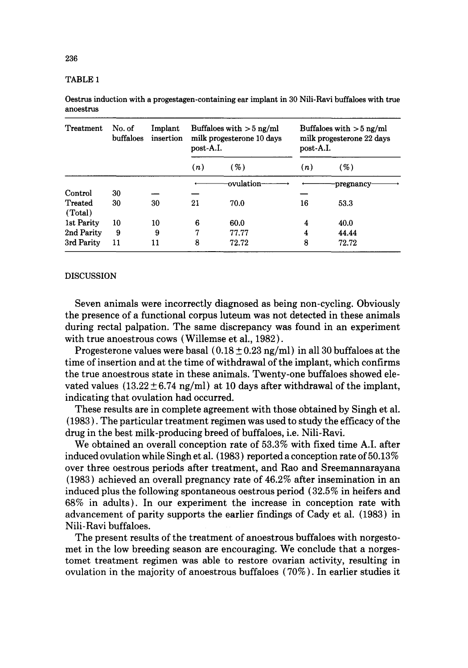## TABLE 1

Oestrus induction with a progestagen-containing ear implant in 30 Nili-Ravi buffaloes with true anoestrus

| Treatment          | No. of<br>buffaloes | Implant<br>insertion | Buffaloes with $>$ 5 ng/ml<br>milk progesterone 10 days<br>post-A.I. |           | Buffaloes with $>5$ ng/ml<br>milk progesterone 22 days<br>post-A.I. |           |
|--------------------|---------------------|----------------------|----------------------------------------------------------------------|-----------|---------------------------------------------------------------------|-----------|
|                    |                     |                      | (n)                                                                  | ( %)      | (n)                                                                 | ( %)      |
|                    |                     |                      |                                                                      | ovulation |                                                                     | pregnancy |
| Control            | 30                  |                      |                                                                      |           |                                                                     |           |
| Treated<br>(Total) | 30                  | 30                   | 21                                                                   | 70.0      | 16                                                                  | 53.3      |
| 1st Parity         | 10                  | 10                   | 6                                                                    | 60.0      | 4                                                                   | 40.0      |
| 2nd Parity         | 9                   | 9                    | 7                                                                    | 77.77     | 4                                                                   | 44.44     |
| 3rd Parity         | 11                  | 11                   | 8                                                                    | 72.72     | 8                                                                   | 72.72     |

#### DISCUSSION

Seven animals were incorrectly diagnosed as being non-cycling: Obviously the presence of a functional corpus luteum was not detected in these animals during rectal palpation. The same discrepancy was found in an experiment with true anoestrous cows (Willemse et al., 1982).

Progesterone values were basal  $(0.18 \pm 0.23 \text{ ng/ml})$  in all 30 buffaloes at the time of insertion and at the time of withdrawal of the implant, which confirms the true anoestrous state in these animals. Twenty-one buffaloes showed elevated values  $(13.22 \pm 6.74 \text{ ng/ml})$  at 10 days after withdrawal of the implant, indicating that ovulation had occurred.

These results are in complete agreement with those obtained by Singh et al. (1983 ). The particular treatment regimen was used to study the efficacy of the drug in the best milk-producing breed of buffaloes, i.e. Nili-Ravi.

We obtained an overall conception rate of 53.3% with fixed time A.I. after induced ovulation while Singh et al. (1983) reported a conception rate of 50.13% over three oestrous periods after treatment, and Rao and Sreemannarayana (1983) achieved an overall pregnancy rate of 46.2% after insemination in an induced plus the following spontaneous oestrous period ( 32.5% in heifers and 68% in adults). In our experiment the increase in conception rate with advancement of parity supports the earlier findings of Cady et al. (1983) in Nili-Ravi buffaloes.

The present results of the treatment of anoestrous buffaloes with norgestomet in the low breeding season are encouraging. We conclude that a norgestomet treatment regimen was able to restore ovarian activity, resulting in ovulation in the majority of anoestrous buffaloes ( 70% ). In earlier studies it

236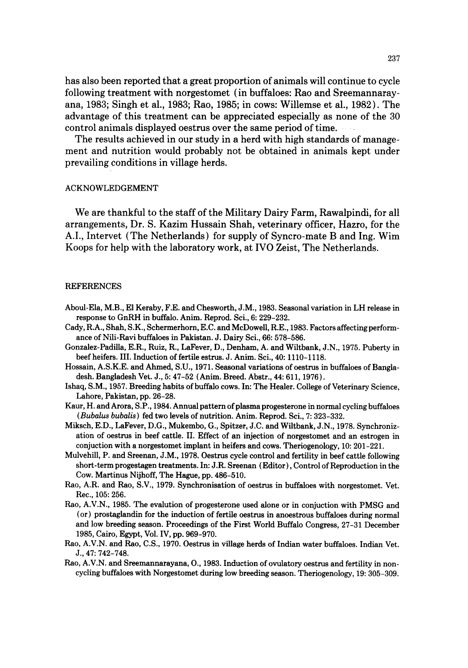has also been reported that a great proportion of animals will continue to cycle following treatment with norgestomet ( in buffaloes: Rao and Sreemannarayana, 1983; Singh et al., 1983; Rao, 1985; in cows: Willemse et al., 1982). The advantage of this treatment can be appreciated especially as none of the 30 control animals displayed oestrus over the same period of time.

The results achieved in our study in a herd with high standards of management and nutrition would probably not be obtained in animals kept under prevailing conditions in village herds.

#### ACKNOWLEDGEMENT

We are thankful to the staff of the Military Dairy Farm, Rawalpindi, for all arrangements, Dr. S. Kazim Hussain Shah, veterinary officer, Hazro, for the A.I., Intervet (The Netherlands) for supply of Syncro-mate B and Ing. Wim Koops for help with the laboratory work, at IVO Zeist, The Netherlands.

#### **REFERENCES**

- Aboul-Ela, M.B., El Keraby, F.E. and Chesworth, J.M., 1983. Seasonal variation in LH release in response to GnRH in buffalo. Anim. Reprod. Sci., 6: 229-232.
- Cady, R.A., Shah, S.K., Schermerhorn, E.C. and McDowell, R.E., 1983. Factors affecting performance of Nili-Ravi buffaloes in Pakistan. J. Dairy Sci., 66: 578-586.
- Gonzalez-Padilla, E.R., Ruiz, R., LaFever, D., Denham, A. and Wiltbank, J.N., 1975. Puberty in beef heifers. III. Induction of fertile estrus. J. Anim. Sci., 40:1110-1118.
- Hossain, A.S.K.E. and Ahmed, S.U., 1971. Seasonal variations of oestrus in buffaloes of Bangladesh. Bangladesh Vet. J., 5:47-52 (Anim. Breed. Abstr., 44: 611, 1976).
- Ishaq, S.M., 1957. Breeding habits of buffalo cows. In: The Healer. College of Veterinary Science, Lahore, Pakistan, pp. 26-28.
- Kaur, H. and Arora, S.P., 1984. Annual pattern of plasma progesterone in normal cycling buffaloes *(Bubalus bubalis)* fed two levels of nutrition. Anim. Reprod. Sci., 7: 323-332.
- Miksch, E.D., LaFever, D.G., Mukembo, G., Spitzer, J.C. and Wiltbank, J.N., 1978. Synchronization of oestrus in beef cattle. II. Effect of an injection of norgestomet and an estrogen in conjuction with a norgestomet implant in heifers and cows. Theriogenology, 10: 201-221.
- Mulvehill, P. and Sreenan, J.M., 1978. Oestrus cycle control and fertility in beef cattle following short-term progestagen treatments. In: J.R. Sreenan (Editor), Control of Reproduction in the Cow. Martinus Nijhoff, The Hague, pp. 486-510.
- Rao, A.R. and Rao, S.V., 1979. Synchronisation of oestrus in buffaloes with norgestomet. Vet. Rec., 105: 256.
- Rao, A.V.N., 1985. The evalution of progesterone used alone or in conjuction with PMSG and (or) prostaglandin for the induction of fertile oestrus in anoestrous buffaloes during normal and low breeding season. Proceedings of the First World Buffalo Congress, 27-31 December 1985, Cairo, Egypt, Vol. IV, pp. 969-970.
- Rao, A.V.N. and Rao, C.S., 1970. Oestrus in village herds of Indian water buffaloes. Indian Vet. J., 47: 742-748.
- Rao, A.V.N. and Sreemannarayana, 0., 1983. Induction of ovulatory oestrus and fertility in noncycling buffaloes with Norgestomet during low breeding season. Theriogenology, 19: 305-309.